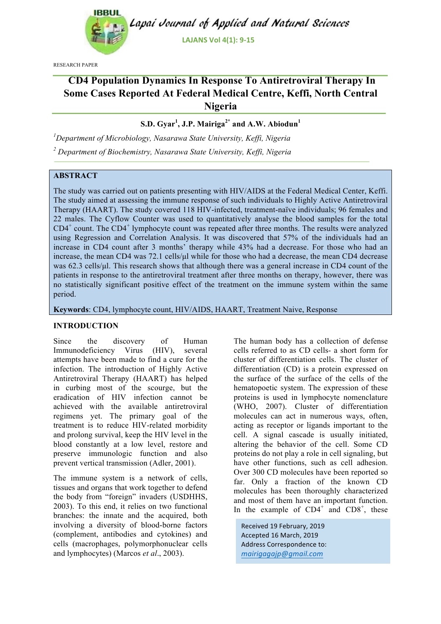

RESEARCH PAPER

# **CD4 Population Dynamics In Response To Antiretroviral Therapy In Some Cases Reported At Federal Medical Centre, Keffi, North Central Nigeria**

## **S.D. Gyar<sup>1</sup> , J.P. Mairiga2\* and A.W. Abiodun<sup>1</sup>**

*1 Department of Microbiology, Nasarawa State University, Keffi, Nigeria <sup>2</sup> Department of Biochemistry, Nasarawa State University, Keffi, Nigeria*

## **ABSTRACT**

The study was carried out on patients presenting with HIV/AIDS at the Federal Medical Center, Keffi. The study aimed at assessing the immune response of such individuals to Highly Active Antiretroviral Therapy (HAART). The study covered 118 HIV-infected, treatment-naïve individuals; 96 females and 22 males. The Cyflow Counter was used to quantitatively analyse the blood samples for the total CD4<sup>+</sup> count. The CD4<sup>+</sup> lymphocyte count was repeated after three months. The results were analyzed using Regression and Correlation Analysis. It was discovered that 57% of the individuals had an increase in CD4 count after 3 months' therapy while 43% had a decrease. For those who had an increase, the mean CD4 was 72.1 cells/ul while for those who had a decrease, the mean CD4 decrease was 62.3 cells/ul. This research shows that although there was a general increase in CD4 count of the patients in response to the antiretroviral treatment after three months on therapy, however, there was no statistically significant positive effect of the treatment on the immune system within the same period.

**Keywords**: CD4, lymphocyte count, HIV/AIDS, HAART, Treatment Naive, Response

#### **INTRODUCTION**

Since the discovery of Human Immunodeficiency Virus (HIV), several attempts have been made to find a cure for the infection. The introduction of Highly Active Antiretroviral Therapy (HAART) has helped in curbing most of the scourge, but the eradication of HIV infection cannot be achieved with the available antiretroviral regimens yet. The primary goal of the treatment is to reduce HIV-related morbidity and prolong survival, keep the HIV level in the blood constantly at a low level, restore and preserve immunologic function and also prevent vertical transmission (Adler, 2001).

The immune system is a network of cells, tissues and organs that work together to defend the body from "foreign" invaders (USDHHS, 2003). To this end, it relies on two functional branches: the innate and the acquired, both involving a diversity of blood-borne factors (complement, antibodies and cytokines) and cells (macrophages, polymorphonuclear cells and lymphocytes) (Marcos *et al*., 2003).

The human body has a collection of defense cells referred to as CD cells- a short form for cluster of differentiation cells. The cluster of differentiation (CD) is a protein expressed on the surface of the surface of the cells of the hematopoetic system. The expression of these proteins is used in lymphocyte nomenclature (WHO, 2007). Cluster of differentiation molecules can act in numerous ways, often, acting as receptor or ligands important to the cell. A signal cascade is usually initiated, altering the behavior of the cell. Some CD proteins do not play a role in cell signaling, but have other functions, such as cell adhesion. Over 300 CD molecules have been reported so far. Only a fraction of the known CD molecules has been thoroughly characterized and most of them have an important function. In the example of  $CD4^+$  and  $CD8^+$ , these

Received'19 February, 2019 Accepted 16 March, 2019 Address Correspondence to: *mairigagajp@gmail.com--*''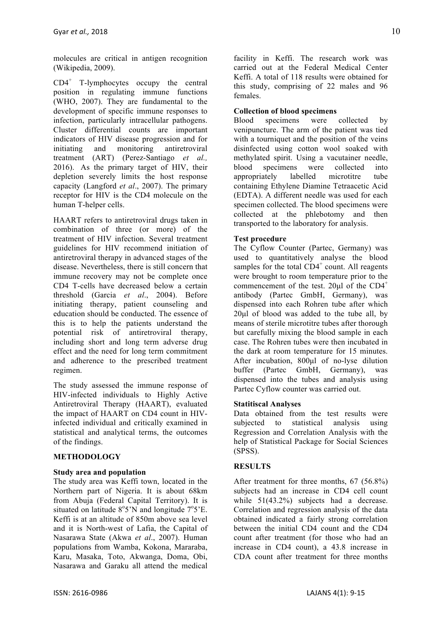molecules are critical in antigen recognition (Wikipedia, 2009).

 $CD4^+$  T-lymphocytes occupy the central position in regulating immune functions (WHO, 2007). They are fundamental to the development of specific immune responses to infection, particularly intracellular pathogens. Cluster differential counts are important indicators of HIV disease progression and for initiating and monitoring antiretroviral treatment (ART) (Perez-Santiago *et al.,*  2016). As the primary target of HIV, their depletion severely limits the host response capacity (Langford *et al*., 2007). The primary receptor for HIV is the CD4 molecule on the human T-helper cells.

HAART refers to antiretroviral drugs taken in combination of three (or more) of the treatment of HIV infection. Several treatment guidelines for HIV recommend initiation of antiretroviral therapy in advanced stages of the disease. Nevertheless, there is still concern that immune recovery may not be complete once CD4 T-cells have decreased below a certain threshold (Garcia *et al*., 2004). Before initiating therapy, patient counseling and education should be conducted. The essence of this is to help the patients understand the potential risk of antiretroviral therapy, including short and long term adverse drug effect and the need for long term commitment and adherence to the prescribed treatment regimen.

The study assessed the immune response of HIV-infected individuals to Highly Active Antiretroviral Therapy (HAART), evaluated the impact of HAART on CD4 count in HIVinfected individual and critically examined in statistical and analytical terms, the outcomes of the findings.

## **METHODOLOGY**

#### **Study area and population**

The study area was Keffi town, located in the Northern part of Nigeria. It is about 68km from Abuja (Federal Capital Territory). It is situated on latitude  $8^{\circ}5'N$  and longitude  $7^{\circ}5'E$ . Keffi is at an altitude of 850m above sea level and it is North-west of Lafia, the Capital of Nasarawa State (Akwa *et al*., 2007). Human populations from Wamba, Kokona, Mararaba, Karu, Masaka, Toto, Akwanga, Doma, Obi, Nasarawa and Garaku all attend the medical

facility in Keffi. The research work was carried out at the Federal Medical Center Keffi. A total of 118 results were obtained for this study, comprising of 22 males and 96 females.

## **Collection of blood specimens**

Blood specimens were collected by venipuncture. The arm of the patient was tied with a tourniquet and the position of the veins disinfected using cotton wool soaked with methylated spirit. Using a vacutainer needle, blood specimens were collected into appropriately labelled microtitre tube containing Ethylene Diamine Tetraacetic Acid (EDTA). A different needle was used for each specimen collected. The blood specimens were collected at the phlebotomy and then transported to the laboratory for analysis.

## **Test procedure**

The Cyflow Counter (Partec, Germany) was used to quantitatively analyse the blood samples for the total  $CD4^+$  count. All reagents were brought to room temperature prior to the commencement of the test.  $20\mu l$  of the CD4<sup>+</sup> antibody (Partec GmbH, Germany), was dispensed into each Rohren tube after which 20µl of blood was added to the tube all, by means of sterile microtitre tubes after thorough but carefully mixing the blood sample in each case. The Rohren tubes were then incubated in the dark at room temperature for 15 minutes. After incubation, 800µl of no-lyse dilution buffer (Partec GmbH, Germany), was dispensed into the tubes and analysis using Partec Cyflow counter was carried out.

## **Statitiscal Analyses**

Data obtained from the test results were subjected to statistical analysis using Regression and Correlation Analysis with the help of Statistical Package for Social Sciences (SPSS).

## **RESULTS**

After treatment for three months, 67 (56.8%) subjects had an increase in CD4 cell count while  $51(43.2\%)$  subjects had a decrease. Correlation and regression analysis of the data obtained indicated a fairly strong correlation between the initial CD4 count and the CD4 count after treatment (for those who had an increase in CD4 count), a 43.8 increase in CDA count after treatment for three months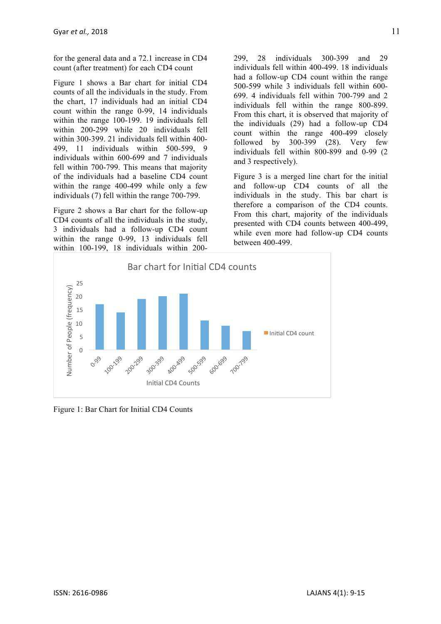for the general data and a 72.1 increase in CD4 count (after treatment) for each CD4 count

Figure 1 shows a Bar chart for initial CD4 counts of all the individuals in the study. From the chart, 17 individuals had an initial CD4 count within the range 0-99, 14 individuals within the range 100-199. 19 individuals fell within 200-299 while 20 individuals fell within 300-399. 21 individuals fell within 400- 499, 11 individuals within 500-599, 9 individuals within 600-699 and 7 individuals fell within 700-799. This means that majority of the individuals had a baseline CD4 count within the range 400-499 while only a few individuals (7) fell within the range 700-799.

Figure 2 shows a Bar chart for the follow-up CD4 counts of all the individuals in the study, 3 individuals had a follow-up CD4 count within the range 0-99, 13 individuals fell within 100-199, 18 individuals within 200299, 28 individuals 300-399 and 29 individuals fell within 400-499. 18 individuals had a follow-up CD4 count within the range 500-599 while 3 individuals fell within 600- 699. 4 individuals fell within 700-799 and 2 individuals fell within the range 800-899. From this chart, it is observed that majority of the individuals (29) had a follow-up CD4 count within the range 400-499 closely followed by  $300-399$   $(28)$ . Very few individuals fell within 800-899 and 0-99 (2 and 3 respectively).

Figure 3 is a merged line chart for the initial and follow-up CD4 counts of all the individuals in the study. This bar chart is therefore a comparison of the CD4 counts. From this chart, majority of the individuals presented with CD4 counts between 400-499, while even more had follow-up CD4 counts between 400-499.



Figure 1: Bar Chart for Initial CD4 Counts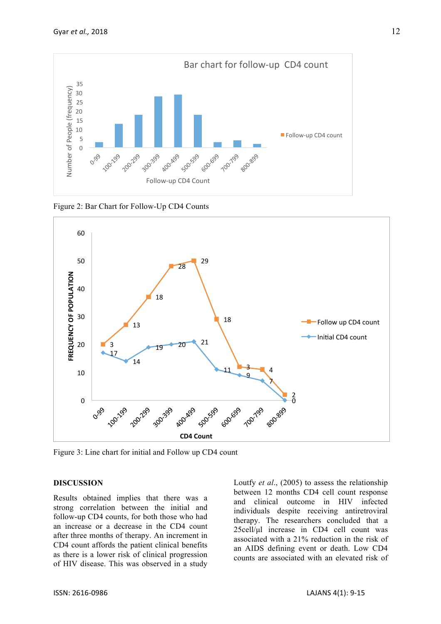

Figure 2: Bar Chart for Follow-Up CD4 Counts



Figure 3: Line chart for initial and Follow up CD4 count

## **DISCUSSION**

Results obtained implies that there was a strong correlation between the initial and follow-up CD4 counts, for both those who had an increase or a decrease in the CD4 count after three months of therapy. An increment in CD4 count affords the patient clinical benefits as there is a lower risk of clinical progression of HIV disease. This was observed in a study Loutfy *et al*., (2005) to assess the relationship between 12 months CD4 cell count response and clinical outcome in HIV infected individuals despite receiving antiretroviral therapy. The researchers concluded that a 25cell/µl increase in CD4 cell count was associated with a 21% reduction in the risk of an AIDS defining event or death. Low CD4 counts are associated with an elevated risk of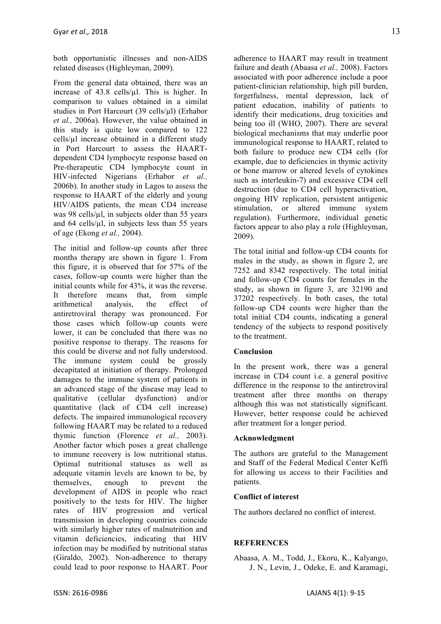both opportunistic illnesses and non-AIDS related diseases (Highleyman, 2009).

From the general data obtained, there was an increase of 43.8 cells/µl. This is higher. In comparison to values obtained in a similat studies in Port Harcourt (39 cells/µl) (Erhabor *et al.,* 2006a). However, the value obtained in this study is quite low compared to 122 cells/ $\mu$ l increase obtained in a different study in Port Harcourt to assess the HAARTdependent CD4 lymphocyte response based on Pre-therapeutic CD4 lymphocyte count in HIV-infected Nigerians (Erhabor *et al.,*  2006b). In another study in Lagos to assess the response to HAART of the elderly and young HIV/AIDS patients, the mean CD4 increase was 98 cells/ $\mu$ l, in subjects older than 55 years and  $64$  cells/ $\mu$ l, in subjects less than 55 years of age (Ekong *et al.,* 2004).

The initial and follow-up counts after three months therapy are shown in figure 1. From this figure, it is observed that for 57% of the cases, follow-up counts were higher than the initial counts while for 43%, it was the reverse. It therefore means that, from simple arithmetical analysis, the effect of antiretroviral therapy was pronounced. For those cases which follow-up counts were lower, it can be concluded that there was no positive response to therapy. The reasons for this could be diverse and not fully understood. The immune system could be grossly decapitated at initiation of therapy. Prolonged damages to the immune system of patients in an advanced stage of the disease may lead to qualitative (cellular dysfunction) and/or quantitative (lack of CD4 cell increase) defects. The impaired immunological recovery following HAART may be related to a reduced thymic function (Florence *et al.,* 2003). Another factor which poses a great challenge to immune recovery is low nutritional status. Optimal nutritional statuses as well as adequate vitamin levels are known to be, by themselves, enough to prevent the development of AIDS in people who react positively to the tests for HIV. The higher rates of HIV progression and vertical transmission in developing countries coincide with similarly higher rates of malnutrition and vitamin deficiencies, indicating that HIV infection may be modified by nutritional status (Giraldo, 2002). Non-adherence to therapy could lead to poor response to HAART. Poor

adherence to HAART may result in treatment failure and death (Abaasa *et al.,* 2008). Factors associated with poor adherence include a poor patient-clinician relationship, high pill burden, forgetfulness, mental depression, lack of patient education, inability of patients to identify their medications, drug toxicities and being too ill (WHO, 2007). There are several biological mechanisms that may underlie poor immunological response to HAART, related to both failure to produce new CD4 cells (for example, due to deficiencies in thymic activity or bone marrow or altered levels of cytokines such as interleukin-7) and excessive CD4 cell destruction (due to CD4 cell hyperactivation, ongoing HIV replication, persistent antigenic stimulation, or altered immune system regulation). Furthermore, individual genetic factors appear to also play a role (Highleyman, 2009).

The total initial and follow-up CD4 counts for males in the study, as shown in figure 2, are 7252 and 8342 respectively. The total initial and follow-up CD4 counts for females in the study, as shown in figure 3, are 32190 and 37202 respectively. In both cases, the total follow-up CD4 counts were higher than the total initial CD4 counts, indicating a general tendency of the subjects to respond positively to the treatment.

#### **Conclusion**

In the present work, there was a general increase in CD4 count i.e. a general positive difference in the response to the antiretroviral treatment after three months on therapy although this was not statistically significant. However, better response could be achieved after treatment for a longer period.

#### **Acknowledgment**

The authors are grateful to the Management and Staff of the Federal Medical Center Keffi for allowing us access to their Facilities and patients.

#### **Conflict of interest**

The authors declared no conflict of interest.

## **REFERENCES**

Abaasa, A. M., Todd, J., Ekoru, K., Kalyango, J. N., Levin, J., Odeke, E. and Karamagi,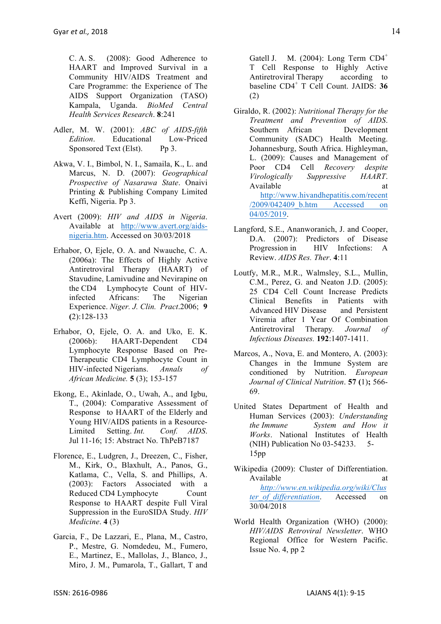C. A. S. (2008): Good Adherence to HAART and Improved Survival in a Community HIV/AIDS Treatment and Care Programme: the Experience of The AIDS Support Organization (TASO) Kampala, Uganda. *BioMed Central Health Services Research*. **8**:241

- Adler, M. W. (2001): *ABC of AIDS-fifth Edition*. Educational Low-Priced Sponsored Text (Elst). Pp 3.
- Akwa, V. I., Bimbol, N. I., Samaila, K., L. and Marcus, N. D. (2007): *Geographical Prospective of Nasarawa State*. Onaivi Printing & Publishing Company Limited Keffi, Nigeria. Pp 3.
- Avert (2009): *HIV and AIDS in Nigeria*. Available at http://www.avert.org/aidsnigeria.htm. Accessed on 30/03/2018
- Erhabor, O, Ejele, O. A. and Nwauche, C. A. (2006a): The Effects of Highly Active Antiretroviral Therapy (HAART) of Stavudine, Lamivudine and Nevirapine on the CD4 Lymphocyte Count of HIVinfected Africans: The Nigerian Experience. *Niger. J. Clin. Pract*.2006; **9 (**2):128-133
- Erhabor, O, Ejele, O. A. and Uko, E. K. (2006b): HAART-Dependent CD4 Lymphocyte Response Based on Pre-Therapeutic CD4 Lymphocyte Count in HIV-infected Nigerians. *Annals of African Medicine.* **5** (3); 153-157
- Ekong, E., Akinlade, O., Uwah, A., and Igbu, T., (2004): Comparative Assessment of Response to HAART of the Elderly and Young HIV/AIDS patients in a Resource-Limited Setting. *Int. Conf. AIDS*. Jul 11-16; 15: Abstract No. ThPeB7187
- Florence, E., Ludgren, J., Dreezen, C., Fisher, M., Kirk, O., Blaxhult, A., Panos, G., Katlama, C., Vella, S. and Phillips, A. (2003): Factors Associated with a Reduced CD4 Lymphocyte Count Response to HAART despite Full Viral Suppression in the EuroSIDA Study. *HIV Medicine*. **4** (3)
- Garcia, F., De Lazzari, E., Plana, M., Castro, P., Mestre, G. Nomdedeu, M., Fumero, E., Martinez, E., Mallolas, J., Blanco, J., Miro, J. M., Pumarola, T., Gallart, T and

Gatell J. M.  $(2004)$ : Long Term CD4<sup>+</sup> T Cell Response to Highly Active Antiretroviral Therapy according to baseline CD4<sup>+</sup> T Cell Count. JAIDS: **36** (2)

- Giraldo, R. (2002): *Nutritional Therapy for the Treatment and Prevention of AIDS*. Southern African Development Community (SADC) Health Meeting. Johannesburg, South Africa. Highleyman, L. (2009): Causes and Management of Poor CD4 Cell *Recovery despite Virologically Suppressive HAART*. Available at a state at a state at a state at a state at a state at a state at a state at a state at a state at a state at a state at a state at a state at a state at a state at a state at a state at a state at a state at http://www.hivandhepatitis.com/recent /2009/042409\_b.htm Accessed on 04/05/2019.
- Langford, S.E., Ananworanich, J. and Cooper, D.A. (2007): Predictors of Disease Progression in HIV Infections: A Review. *AIDS Res. Ther*. **4**:11
- Loutfy, M.R., M.R., Walmsley, S.L., Mullin, C.M., Perez, G. and Neaton J.D. (2005): 25 CD4 Cell Count Increase Predicts Clinical Benefits in Patients with Advanced HIV Disease and Persistent Viremia after 1 Year Of Combination Antiretroviral Therapy*. Journal of Infectious Diseases.* **192**:1407-1411.
- Marcos, A., Nova, E. and Montero, A. (2003): Changes in the Immune System are conditioned by Nutrition. *European Journal of Clinical Nutrition*. **57 (**1)**;** 566- 69.
- United States Department of Health and Human Services (2003): *Understanding the Immune System and How it Works*. National Institutes of Health (NIH) Publication No 03-54233. 5- 15pp
- Wikipedia (2009): Cluster of Differentiation. Available at a state at the state at a state at a state at a state at a state at a state at a state at a state  $\alpha$ *http://www.en.wikipedia.org/wiki/Clus ter\_of\_differentiation*. Accessed on 30/04/2018
- World Health Organization (WHO) (2000): *HIV/AIDS Retroviral Newsletter*. WHO Regional Office for Western Pacific. Issue No. 4, pp 2